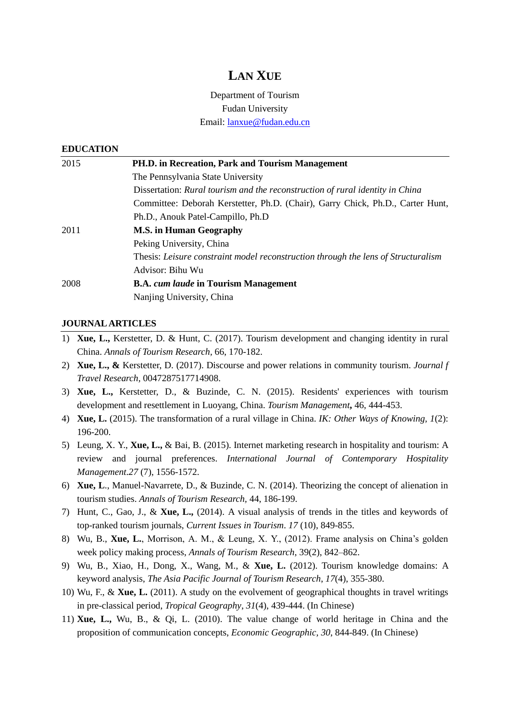# **LAN XUE**

Department of Tourism Fudan University Email: [lanxue@fudan.edu.cn](mailto:lanxue@fudan.edu.cn)

#### **EDUCATION**

| 2015 | PH.D. in Recreation, Park and Tourism Management                                  |
|------|-----------------------------------------------------------------------------------|
|      | The Pennsylvania State University                                                 |
|      | Dissertation: Rural tourism and the reconstruction of rural identity in China     |
|      | Committee: Deborah Kerstetter, Ph.D. (Chair), Garry Chick, Ph.D., Carter Hunt,    |
|      | Ph.D., Anouk Patel-Campillo, Ph.D                                                 |
| 2011 | <b>M.S. in Human Geography</b>                                                    |
|      | Peking University, China                                                          |
|      | Thesis: Leisure constraint model reconstruction through the lens of Structuralism |
|      | Advisor: Bihu Wu                                                                  |
| 2008 | <b>B.A.</b> cum laude in Tourism Management                                       |
|      | Nanjing University, China                                                         |

#### **JOURNALARTICLES**

- 1) **Xue, L.,** Kerstetter, D. & Hunt, C. (2017). Tourism development and changing identity in rural China. *Annals of Tourism Research,* 66, 170-182.
- 2) **Xue, L., &** Kerstetter, D. (2017). Discourse and power relations in community tourism. *Journal f Travel Research,* 0047287517714908.
- 3) **Xue, L.,** Kerstetter, D., & Buzinde, C. N. (2015). Residents' experiences with tourism development and resettlement in Luoyang, China. *Tourism Management***,** 46, 444-453.
- 4) **Xue, L.** (2015). The transformation of a rural village in China. *IK: Other Ways of Knowing, 1*(2): 196-200.
- 5) Leung, X. Y., **Xue, L.,** & Bai, B. (2015). Internet marketing research in hospitality and tourism: A review and journal preferences. *International Journal of Contemporary Hospitality Management.27* (7), 1556-1572.
- 6) **Xue, L**., Manuel-Navarrete, D., & Buzinde, C. N. (2014). Theorizing the concept of alienation in tourism studies. *Annals of Tourism Research,* 44, 186-199.
- 7) Hunt, C., Gao, J., & **Xue, L.,** (2014). A visual analysis of trends in the titles and keywords of top-ranked tourism journals, *Current Issues in Tourism*. *17* (10), 849-855.
- 8) Wu, B., **Xue, L.**, Morrison, A. M., & Leung, X. Y., (2012). Frame analysis on China's golden week policy making process, *Annals of Tourism Research*, 39(2), 842–862.
- 9) Wu, B., Xiao, H., Dong, X., Wang, M., & **Xue, L.** (2012). Tourism knowledge domains: A keyword analysis, *The Asia Pacific Journal of Tourism Research*, *17*(4), 355-380.
- 10) Wu, F., & **Xue, L.** (2011). A study on the evolvement of geographical thoughts in travel writings in pre-classical period, *Tropical Geography*, *31*(4), 439-444. (In Chinese)
- 11) **Xue, L.,** Wu, B., & Qi, L. (2010). The value change of world heritage in China and the proposition of communication concepts, *Economic Geographic, 30*, 844-849. (In Chinese)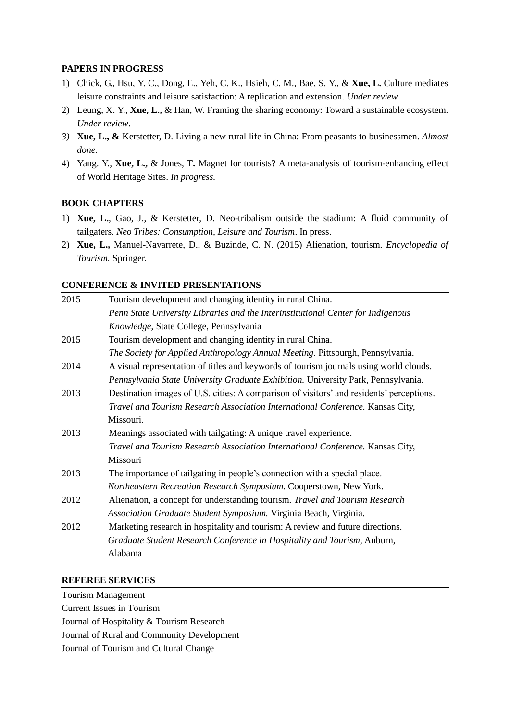## **PAPERS IN PROGRESS**

- 1) Chick, G., Hsu, Y. C., Dong, E., Yeh, C. K., Hsieh, C. M., Bae, S. Y., & **Xue, L.** Culture mediates leisure constraints and leisure satisfaction: A replication and extension. *Under review.*
- 2) Leung, X. Y., **Xue, L.,** & Han, W. Framing the sharing economy: Toward a sustainable ecosystem. *Under review*.
- *3)* **Xue, L., &** Kerstetter, D. Living a new rural life in China: From peasants to businessmen. *Almost done.*
- 4) Yang. Y., **Xue, L.,** & Jones, T**.** Magnet for tourists? A meta-analysis of tourism-enhancing effect of World Heritage Sites. *In progress.*

## **BOOK CHAPTERS**

- 1) **Xue, L.**, Gao, J., & Kerstetter, D. Neo-tribalism outside the stadium: A fluid community of tailgaters. *Neo Tribes: Consumption, Leisure and Tourism*. In press.
- 2) **Xue, L.,** Manuel-Navarrete, D., & Buzinde, C. N. (2015) Alienation, tourism. *Encyclopedia of Tourism.* Springer.

#### **CONFERENCE & INVITED PRESENTATIONS**

| 2015 | Tourism development and changing identity in rural China.                                |
|------|------------------------------------------------------------------------------------------|
|      | Penn State University Libraries and the Interinstitutional Center for Indigenous         |
|      | Knowledge, State College, Pennsylvania                                                   |
| 2015 | Tourism development and changing identity in rural China.                                |
|      | The Society for Applied Anthropology Annual Meeting. Pittsburgh, Pennsylvania.           |
| 2014 | A visual representation of titles and keywords of tourism journals using world clouds.   |
|      | Pennsylvania State University Graduate Exhibition. University Park, Pennsylvania.        |
| 2013 | Destination images of U.S. cities: A comparison of visitors' and residents' perceptions. |
|      | Travel and Tourism Research Association International Conference. Kansas City,           |
|      | Missouri.                                                                                |
| 2013 | Meanings associated with tailgating: A unique travel experience.                         |
|      | Travel and Tourism Research Association International Conference. Kansas City,           |
|      | Missouri                                                                                 |
| 2013 | The importance of tailgating in people's connection with a special place.                |
|      | Northeastern Recreation Research Symposium. Cooperstown, New York.                       |
| 2012 | Alienation, a concept for understanding tourism. Travel and Tourism Research             |
|      | Association Graduate Student Symposium. Virginia Beach, Virginia.                        |
| 2012 | Marketing research in hospitality and tourism: A review and future directions.           |
|      | Graduate Student Research Conference in Hospitality and Tourism, Auburn,                 |
|      | Alabama                                                                                  |

#### **REFEREE SERVICES**

Tourism Management Current Issues in Tourism Journal of Hospitality & Tourism Research Journal of Rural and Community Development Journal of Tourism and Cultural Change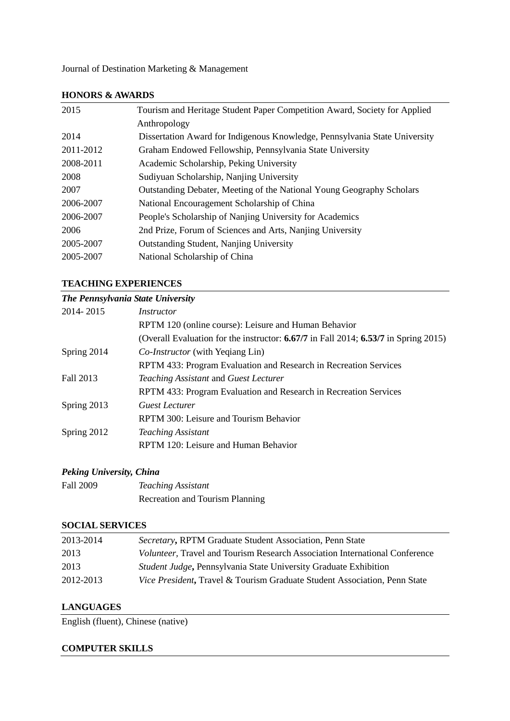Journal of Destination Marketing & Management

| 2015      | Tourism and Heritage Student Paper Competition Award, Society for Applied  |
|-----------|----------------------------------------------------------------------------|
|           | Anthropology                                                               |
| 2014      | Dissertation Award for Indigenous Knowledge, Pennsylvania State University |
| 2011-2012 | Graham Endowed Fellowship, Pennsylvania State University                   |
| 2008-2011 | Academic Scholarship, Peking University                                    |
| 2008      | Sudiyuan Scholarship, Nanjing University                                   |
| 2007      | Outstanding Debater, Meeting of the National Young Geography Scholars      |
| 2006-2007 | National Encouragement Scholarship of China                                |
| 2006-2007 | People's Scholarship of Nanjing University for Academics                   |
| 2006      | 2nd Prize, Forum of Sciences and Arts, Nanjing University                  |
| 2005-2007 | <b>Outstanding Student, Nanjing University</b>                             |
| 2005-2007 | National Scholarship of China                                              |
|           |                                                                            |

#### **HONORS & AWARDS**

#### **TEACHING EXPERIENCES**

| The Pennsylvania State University |                                                                                         |  |
|-----------------------------------|-----------------------------------------------------------------------------------------|--|
| 2014-2015                         | <i>Instructor</i>                                                                       |  |
|                                   | RPTM 120 (online course): Leisure and Human Behavior                                    |  |
|                                   | (Overall Evaluation for the instructor: $6.67/7$ in Fall 2014; $6.53/7$ in Spring 2015) |  |
| Spring 2014                       | <i>Co-Instructor</i> (with Yeqiang Lin)                                                 |  |
|                                   | RPTM 433: Program Evaluation and Research in Recreation Services                        |  |
| Fall 2013                         | Teaching Assistant and Guest Lecturer                                                   |  |
|                                   | RPTM 433: Program Evaluation and Research in Recreation Services                        |  |
| Spring 2013                       | <b>Guest Lecturer</b>                                                                   |  |
|                                   | RPTM 300: Leisure and Tourism Behavior                                                  |  |
| Spring 2012                       | <b>Teaching Assistant</b>                                                               |  |
|                                   | RPTM 120: Leisure and Human Behavior                                                    |  |

# *Peking University, China*

| Fall 2009 | <b>Teaching Assistant</b>       |
|-----------|---------------------------------|
|           | Recreation and Tourism Planning |

## **SOCIAL SERVICES**

| 2013-2014 | Secretary, RPTM Graduate Student Association, Penn State                            |
|-----------|-------------------------------------------------------------------------------------|
| 2013      | <i>Volunteer</i> , Travel and Tourism Research Association International Conference |
| 2013      | Student Judge, Pennsylvania State University Graduate Exhibition                    |
| 2012-2013 | <i>Vice President</i> , Travel & Tourism Graduate Student Association, Penn State   |

# **LANGUAGES**

English (fluent), Chinese (native)

## **COMPUTER SKILLS**